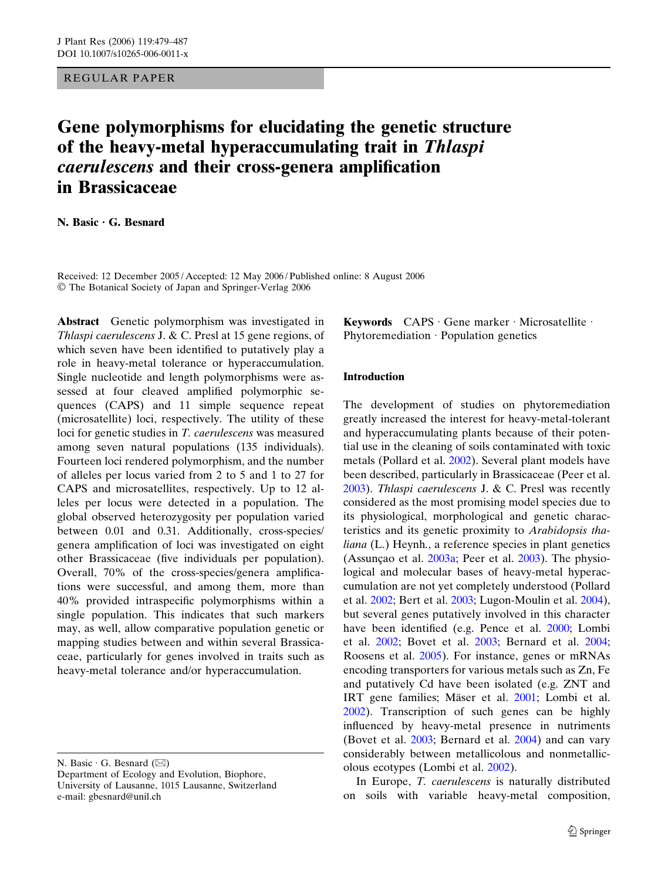REGULAR PAPER

# Gene polymorphisms for elucidating the genetic structure of the heavy-metal hyperaccumulating trait in Thlaspi caerulescens and their cross-genera amplification in Brassicaceae

N. Basic  $\cdot$  G. Besnard

Received: 12 December 2005 / Accepted: 12 May 2006 / Published online: 8 August 2006 The Botanical Society of Japan and Springer-Verlag 2006

Abstract Genetic polymorphism was investigated in Thlaspi caerulescens J. & C. Presl at 15 gene regions, of which seven have been identified to putatively play a role in heavy-metal tolerance or hyperaccumulation. Single nucleotide and length polymorphisms were assessed at four cleaved amplified polymorphic sequences (CAPS) and 11 simple sequence repeat (microsatellite) loci, respectively. The utility of these loci for genetic studies in T. caerulescens was measured among seven natural populations (135 individuals). Fourteen loci rendered polymorphism, and the number of alleles per locus varied from 2 to 5 and 1 to 27 for CAPS and microsatellites, respectively. Up to 12 alleles per locus were detected in a population. The global observed heterozygosity per population varied between 0.01 and 0.31. Additionally, cross-species/ genera amplification of loci was investigated on eight other Brassicaceae (five individuals per population). Overall, 70% of the cross-species/genera amplifications were successful, and among them, more than 40% provided intraspecific polymorphisms within a single population. This indicates that such markers may, as well, allow comparative population genetic or mapping studies between and within several Brassicaceae, particularly for genes involved in traits such as heavy-metal tolerance and/or hyperaccumulation.

N. Basic  $\cdot$  G. Besnard ( $\boxtimes$ ) Department of Ecology and Evolution, Biophore, University of Lausanne, 1015 Lausanne, Switzerland e-mail: gbesnard@unil.ch

Keywords  $CAPS \cdot Gene$  marker  $\cdot$  Microsatellite  $\cdot$ Phytoremediation  $\cdot$  Population genetics

#### Introduction

The development of studies on phytoremediation greatly increased the interest for heavy-metal-tolerant and hyperaccumulating plants because of their potential use in the cleaning of soils contaminated with toxic metals (Pollard et al. [2002](#page-8-0)). Several plant models have been described, particularly in Brassicaceae (Peer et al. [2003](#page-8-0)). Thlaspi caerulescens J. & C. Presl was recently considered as the most promising model species due to its physiological, morphological and genetic characteristics and its genetic proximity to Arabidopsis thaliana (L.) Heynh., a reference species in plant genetics (Assunção et al.  $2003a$ ; Peer et al.  $2003$ ). The physiological and molecular bases of heavy-metal hyperaccumulation are not yet completely understood (Pollard et al. [2002](#page-8-0); Bert et al. [2003](#page-7-0); Lugon-Moulin et al. [2004\)](#page-8-0), but several genes putatively involved in this character have been identified (e.g. Pence et al. [2000;](#page-8-0) Lombi et al. [2002](#page-8-0); Bovet et al. [2003;](#page-7-0) Bernard et al. [2004;](#page-7-0) Roosens et al. [2005](#page-8-0)). For instance, genes or mRNAs encoding transporters for various metals such as Zn, Fe and putatively Cd have been isolated (e.g. ZNT and IRT gene families; Mäser et al. [2001;](#page-8-0) Lombi et al. [2002](#page-8-0)). Transcription of such genes can be highly influenced by heavy-metal presence in nutriments (Bovet et al. [2003](#page-7-0); Bernard et al. [2004\)](#page-7-0) and can vary considerably between metallicolous and nonmetallicolous ecotypes (Lombi et al. [2002\)](#page-8-0).

In Europe, T. caerulescens is naturally distributed on soils with variable heavy-metal composition,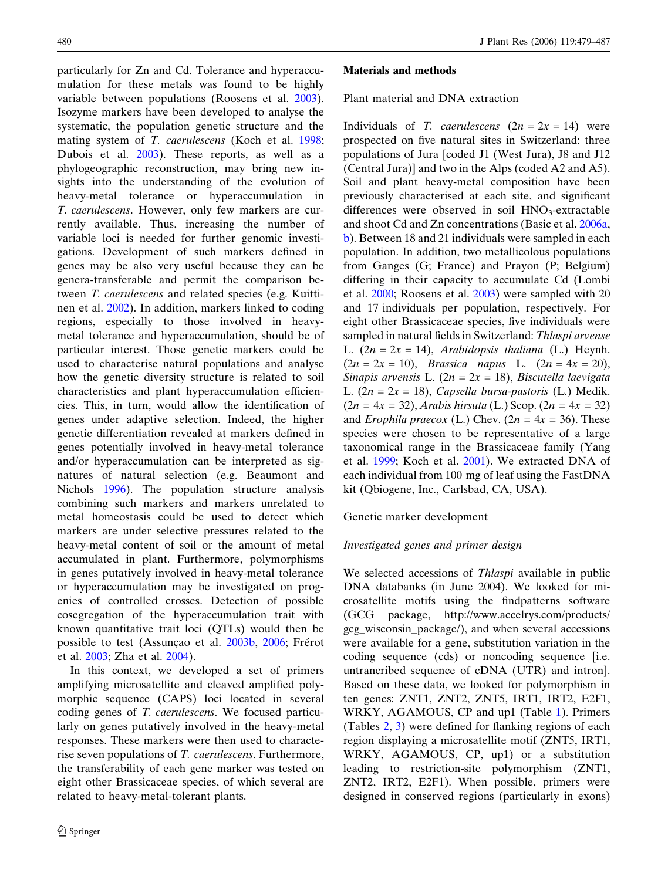particularly for Zn and Cd. Tolerance and hyperaccumulation for these metals was found to be highly variable between populations (Roosens et al. [2003\)](#page-8-0). Isozyme markers have been developed to analyse the systematic, the population genetic structure and the mating system of T. caerulescens (Koch et al. [1998;](#page-8-0) Dubois et al. [2003\)](#page-7-0). These reports, as well as a phylogeographic reconstruction, may bring new insights into the understanding of the evolution of heavy-metal tolerance or hyperaccumulation in T. caerulescens. However, only few markers are currently available. Thus, increasing the number of variable loci is needed for further genomic investigations. Development of such markers defined in genes may be also very useful because they can be genera-transferable and permit the comparison between T. caerulescens and related species (e.g. Kuittinen et al. [2002](#page-8-0)). In addition, markers linked to coding regions, especially to those involved in heavymetal tolerance and hyperaccumulation, should be of particular interest. Those genetic markers could be used to characterise natural populations and analyse how the genetic diversity structure is related to soil characteristics and plant hyperaccumulation efficiencies. This, in turn, would allow the identification of genes under adaptive selection. Indeed, the higher genetic differentiation revealed at markers defined in genes potentially involved in heavy-metal tolerance and/or hyperaccumulation can be interpreted as signatures of natural selection (e.g. Beaumont and Nichols [1996](#page-7-0)). The population structure analysis combining such markers and markers unrelated to metal homeostasis could be used to detect which markers are under selective pressures related to the heavy-metal content of soil or the amount of metal accumulated in plant. Furthermore, polymorphisms in genes putatively involved in heavy-metal tolerance or hyperaccumulation may be investigated on progenies of controlled crosses. Detection of possible cosegregation of the hyperaccumulation trait with known quantitative trait loci (QTLs) would then be possible to test (Assunçao et al. [2003b](#page-7-0), [2006](#page-7-0); Frérot et al. [2003](#page-7-0); Zha et al. [2004](#page-8-0)).

In this context, we developed a set of primers amplifying microsatellite and cleaved amplified polymorphic sequence (CAPS) loci located in several coding genes of T. caerulescens. We focused particularly on genes putatively involved in the heavy-metal responses. These markers were then used to characterise seven populations of T. caerulescens. Furthermore, the transferability of each gene marker was tested on eight other Brassicaceae species, of which several are related to heavy-metal-tolerant plants.

#### Materials and methods

Plant material and DNA extraction

Individuals of T. caerulescens  $(2n = 2x = 14)$  were prospected on five natural sites in Switzerland: three populations of Jura [coded J1 (West Jura), J8 and J12 (Central Jura)] and two in the Alps (coded A2 and A5). Soil and plant heavy-metal composition have been previously characterised at each site, and significant differences were observed in soil  $HNO<sub>3</sub>$ -extractable and shoot Cd and Zn concentrations (Basic et al. [2006a,](#page-7-0) [b\)](#page-7-0). Between 18 and 21 individuals were sampled in each population. In addition, two metallicolous populations from Ganges (G; France) and Prayon (P; Belgium) differing in their capacity to accumulate Cd (Lombi et al. [2000](#page-8-0); Roosens et al. [2003\)](#page-8-0) were sampled with 20 and 17 individuals per population, respectively. For eight other Brassicaceae species, five individuals were sampled in natural fields in Switzerland: Thlaspi arvense L.  $(2n = 2x = 14)$ , Arabidopsis thaliana (L.) Heynh.  $(2n = 2x = 10)$ , Brassica napus L.  $(2n = 4x = 20)$ , Sinapis arvensis L.  $(2n = 2x = 18)$ , Biscutella laevigata L.  $(2n = 2x = 18)$ , Capsella bursa-pastoris (L.) Medik.  $(2n = 4x = 32),$  Arabis hirsuta (L.) Scop.  $(2n = 4x = 32)$ and *Erophila praecox* (L.) Chev. ( $2n = 4x = 36$ ). These species were chosen to be representative of a large taxonomical range in the Brassicaceae family (Yang et al. [1999;](#page-8-0) Koch et al. [2001](#page-8-0)). We extracted DNA of each individual from 100 mg of leaf using the FastDNA kit (Qbiogene, Inc., Carlsbad, CA, USA).

## Genetic marker development

#### Investigated genes and primer design

We selected accessions of *Thlaspi* available in public DNA databanks (in June 2004). We looked for microsatellite motifs using the findpatterns software (GCG package, http://www.accelrys.com/products/ gcg\_wisconsin\_package/), and when several accessions were available for a gene, substitution variation in the coding sequence (cds) or noncoding sequence [i.e. untrancribed sequence of cDNA (UTR) and intron]. Based on these data, we looked for polymorphism in ten genes: ZNT1, ZNT2, ZNT5, IRT1, IRT2, E2F1, WRKY, AGAMOUS, CP and up1 (Table [1\)](#page-2-0). Primers (Tables [2](#page-2-0), [3\)](#page-3-0) were defined for flanking regions of each region displaying a microsatellite motif (ZNT5, IRT1, WRKY, AGAMOUS, CP, up1) or a substitution leading to restriction-site polymorphism (ZNT1, ZNT2, IRT2, E2F1). When possible, primers were designed in conserved regions (particularly in exons)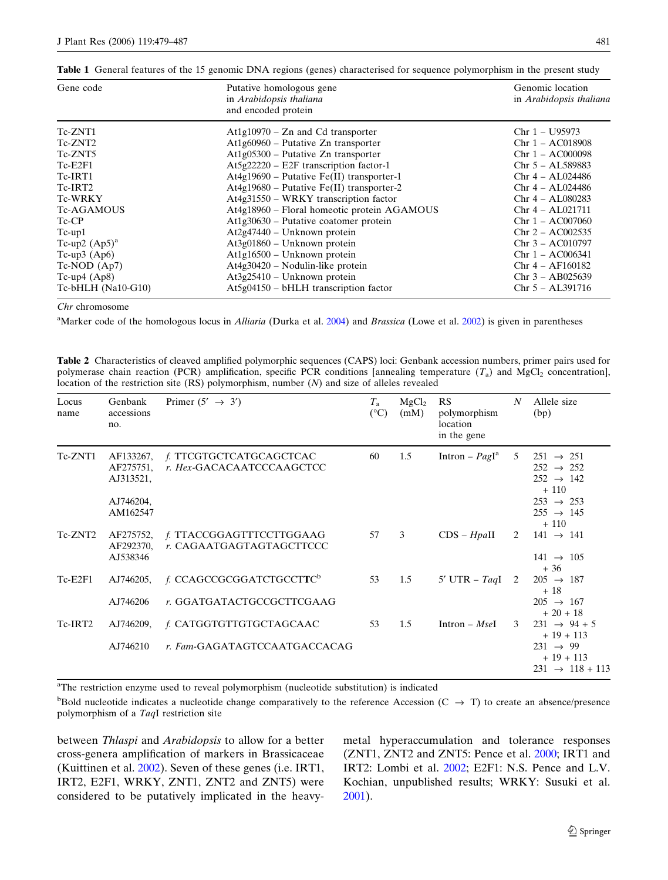| Gene code             | Putative homologous gene<br>in Arabidopsis thaliana<br>and encoded protein | Genomic location<br>in Arabidopsis thaliana |
|-----------------------|----------------------------------------------------------------------------|---------------------------------------------|
| Tc-ZNT1               | $At1g10970 - Zn$ and Cd transporter                                        | $Chr 1 - U95973$                            |
| Tc-ZNT2               | $At1g60960 - Putative Zn transporter$                                      | $Chr 1 - AC018908$                          |
| Tc-ZNT5               | $At1g05300$ – Putative Zn transporter                                      | $Chr 1 - ACO00098$                          |
| $Tc-E2F1$             | $At5g22220 - E2F$ transcription factor-1                                   | $Chr 5 - AL589883$                          |
| Tc-IRT1               | $At4g19690 - Putative Fe(II) transporter-1$                                | $Chr 4 - AL024486$                          |
| Tc-IRT2               | $At4g19680 - Putative Fe(II) transporter-2$                                | $Chr 4 - AL024486$                          |
| <b>Tc-WRKY</b>        | At4g31550 – WRKY transcription factor                                      | $Chr 4 - AL080283$                          |
| <b>Tc-AGAMOUS</b>     | At4g18960 - Floral homeotic protein AGAMOUS                                | $Chr 4 - AL021711$                          |
| $Tc$ -CP              | $At1g30630$ – Putative coatomer protein                                    | $Chr 1 - ACO07060$                          |
| $Tc-up1$              | $At2g47440 - Unknown protein$                                              | $Chr 2 - ACO02535$                          |
| Tc-up2 $(Ap5)^a$      | $At3g01860 - Unknown protein$                                              | $Chr 3 - AC010797$                          |
| Tc-up3 $(Ap6)$        | At1g16500 - Unknown protein                                                | $Chr 1 - ACO06341$                          |
| $Tc-NOD (Ap7)$        | $At4g30420$ – Nodulin-like protein                                         | $Chr 4 - AF160182$                          |
| Tc-up4 $(Ap8)$        | $At3g25410 - Unknown protein$                                              | $Chr 3 - AB025639$                          |
| $Tc$ -bHLH (Na10-G10) | $At5g04150 - bHLH$ transcription factor                                    | $Chr 5 - AL391716$                          |

<span id="page-2-0"></span>Table 1 General features of the 15 genomic DNA regions (genes) characterised for sequence polymorphism in the present study

Chr chromosome

<sup>a</sup>Marker code of the homologous locus in *Alliaria* (Durka et al. [2004](#page-7-0)) and *Brassica* (Lowe et al. [2002](#page-8-0)) is given in parentheses

Table 2 Characteristics of cleaved amplified polymorphic sequences (CAPS) loci: Genbank accession numbers, primer pairs used for polymerase chain reaction (PCR) amplification, specific PCR conditions [annealing temperature  $(T_a)$  and MgCl<sub>2</sub> concentration], location of the restriction site (RS) polymorphism, number (N) and size of alleles revealed

| Locus<br>name | Genbank<br>accessions<br>no.                                 | Primer $(5' \rightarrow 3')$                                      | $T_{\rm a}$<br>$(^{\circ}C)$ | MgCl <sub>2</sub><br>(mM) | RS<br>polymorphism<br>location<br>in the gene | N | Allele size<br>(bp)                                                                                                                           |
|---------------|--------------------------------------------------------------|-------------------------------------------------------------------|------------------------------|---------------------------|-----------------------------------------------|---|-----------------------------------------------------------------------------------------------------------------------------------------------|
| Tc-ZNT1       | AF133267,<br>AF275751,<br>AJ313521,<br>AJ746204,<br>AM162547 | f. TTCGTGCTCATGCAGCTCAC<br>r. Hex-GACACAATCCCAAGCTCC              | 60                           | 1.5                       | Intron – $Pagla$                              | 5 | $251 \rightarrow 251$<br>$252 \rightarrow 252$<br>$252 \rightarrow 142$<br>$+110$<br>$253 \rightarrow 253$<br>$255 \rightarrow 145$<br>$+110$ |
| Tc-ZNT2       | AF275752,<br>AF292370,<br>AJ538346                           | f. TTACCGGAGTTTCCTTGGAAG<br>r. CAGAATGAGTAGTAGCTTCCC              | 57                           | 3                         | $CDS - HpaII$                                 | 2 | $141 \rightarrow 141$<br>$141 \rightarrow 105$                                                                                                |
| $Tc-E2F1$     | AJ746205,<br>AJ746206                                        | f. CCAGCCGCGGATCTGCCTTC <sup>b</sup><br>r. GGATGATACTGCCGCTTCGAAG | 53                           | 1.5                       | 5' UTR – $TaqI$                               | 2 | $+36$<br>$205 \rightarrow 187$<br>$+18$<br>$205 \rightarrow 167$<br>$+20+18$                                                                  |
| Tc-IRT2       | AJ746209,<br>AJ746210                                        | f. CATGGTGTTGTGCTAGCAAC<br>r. Fam-GAGATAGTCCAATGACCACAG           | 53                           | 1.5                       | Intron – $MseI$                               | 3 | $231 \rightarrow 94 + 5$<br>$+19+113$<br>$231 \rightarrow 99$<br>$+19+113$<br>$231 \rightarrow 118 + 113$                                     |

<sup>a</sup>The restriction enzyme used to reveal polymorphism (nucleotide substitution) is indicated

 $b$ Bold nucleotide indicates a nucleotide change comparatively to the reference Accession (C  $\rightarrow$  T) to create an absence/presence polymorphism of a TaqI restriction site

between Thlaspi and Arabidopsis to allow for a better cross-genera amplification of markers in Brassicaceae (Kuittinen et al. [2002\)](#page-8-0). Seven of these genes (i.e. IRT1, IRT2, E2F1, WRKY, ZNT1, ZNT2 and ZNT5) were considered to be putatively implicated in the heavymetal hyperaccumulation and tolerance responses (ZNT1, ZNT2 and ZNT5: Pence et al. [2000](#page-8-0); IRT1 and IRT2: Lombi et al. [2002;](#page-8-0) E2F1: N.S. Pence and L.V. Kochian, unpublished results; WRKY: Susuki et al. [2001](#page-8-0)).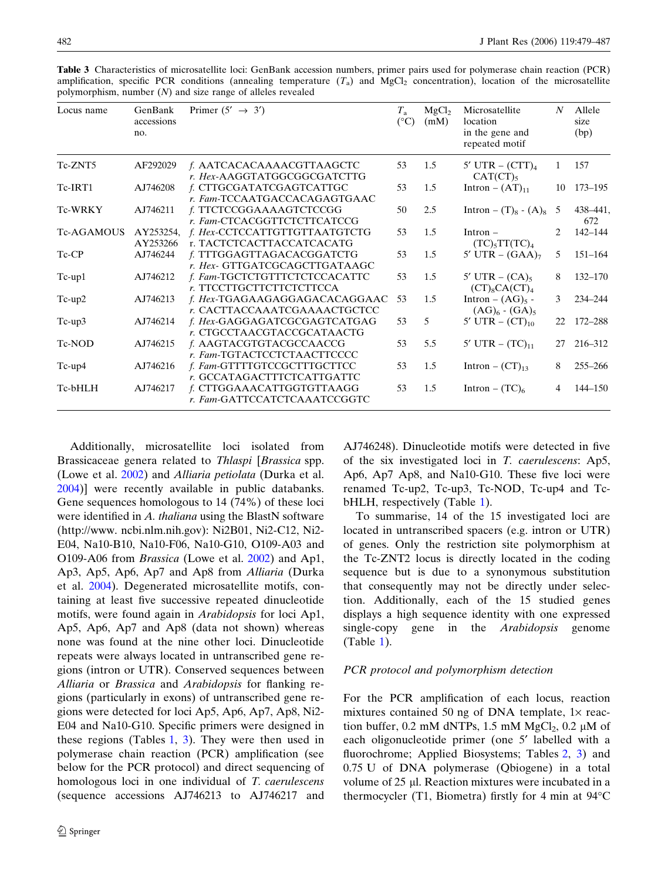| Locus name        | GenBank<br>accessions<br>no. | Primer $(5' \rightarrow 3')$                                  | $T_{\rm a}$<br>$(^{\circ}C)$ | MgCl <sub>2</sub><br>(mM) | Microsatellite<br>location<br>in the gene and<br>repeated motif | N              | Allele<br>size<br>(bp) |
|-------------------|------------------------------|---------------------------------------------------------------|------------------------------|---------------------------|-----------------------------------------------------------------|----------------|------------------------|
| Tc-ZNT5           | AF292029                     | f. AATCACACAAAACGTTAAGCTC<br>r. Hex-AAGGTATGGCGGCGATCTTG      | 53                           | 1.5                       | 5' UTR $-$ (CTT) <sub>4</sub><br>$CAT (CT)_{5}$                 | 1.             | 157                    |
| Tc-IRT1           | AJ746208                     | f. CTTGCGATATCGAGTCATTGC<br>r. Fam-TCCAATGACCACAGAGTGAAC      | 53                           | 1.5                       | Intron $- (AT)_{11}$                                            | 10             | 173–195                |
| <b>Tc-WRKY</b>    | AJ746211                     | f. TTCTCCGGAAAAGTCTCCGG<br>r. Fam-CTCACGGTTCTCTTCATCCG        | 50                           | 2.5                       | Intron – $(T)_8$ - $(A)_8$                                      | -5             | 438-441,<br>672        |
| <b>Tc-AGAMOUS</b> | AY253254,<br>AY253266        | f. Hex-CCTCCATTGTTGTTAATGTCTG<br>r. TACTCTCACTTACCATCACATG    | 53                           | 1.5                       | $Intron$ –<br>$(TC)_{5}TT(TC)_{4}$                              | $\mathfrak{D}$ | 142-144                |
| Tc-CP             | AJ746244                     | f. TTTGGAGTTAGACACGGATCTG<br>r. Hex- GTTGATCGCAGCTTGATAAGC    | 53                           | 1.5                       | 5' UTR $-$ (GAA) <sub>7</sub>                                   | 5.             | $151 - 164$            |
| $Tc-up1$          | AJ746212                     | f. Fam-TGCTCTGTTTCTCTCCACATTC<br>r. TTCCTTGCTTCTTCTCTTCCA     | 53                           | 1.5                       | 5' UTR – $(CA)_{5}$<br>$(CT)_8CA (CT)_4$                        | 8              | $132 - 170$            |
| $Tc-up2$          | AJ746213                     | f. Hex-TGAGAAGAGGAGACACAGGAAC<br>r. CACTTACCAAATCGAAAACTGCTCC | 53                           | 1.5                       | Intron – $(AG)_5$ -<br>$(AG)6$ - $(GA)5$                        | 3              | 234-244                |
| $Tc-up3$          | AJ746214                     | f. Hex-GAGGAGATCGCGAGTCATGAG<br>r. CTGCCTAACGTACCGCATAACTG    | 53                           | 5                         | 5' UTR $-$ (CT) <sub>10</sub>                                   | 22             | 172-288                |
| Tc-NOD            | AJ746215                     | f. AAGTACGTGTACGCCAACCG<br>r. Fam-TGTACTCCTCTAACTTCCCC        | 53                           | 5.5                       | 5' UTR $-$ (TC) <sub>11</sub>                                   | 27             | 216-312                |
| $Tc-up4$          | AJ746216                     | f. Fam-GTTTTGTCCGCTTTGCTTCC<br>r. GCCATAGACTTTCTCATTGATTC     | 53                           | 1.5                       | Intron – $(CT)_{13}$                                            | 8              | $255 - 266$            |
| Tc-bHLH           | AJ746217                     | f. CTTGGAAACATTGGTGTTAAGG<br>r. Fam-GATTCCATCTCAAATCCGGTC     | 53                           | 1.5                       | Intron $ (TC)_6$                                                | 4              | 144–150                |

<span id="page-3-0"></span>Table 3 Characteristics of microsatellite loci: GenBank accession numbers, primer pairs used for polymerase chain reaction (PCR) amplification, specific PCR conditions (annealing temperature  $(T_a)$  and MgCl<sub>2</sub> concentration), location of the microsatellite polymorphism, number (N) and size range of alleles revealed

Additionally, microsatellite loci isolated from Brassicaceae genera related to Thlaspi [Brassica spp. (Lowe et al.  $2002$ ) and *Alliaria petiolata* (Durka et al. [2004\)](#page-7-0)] were recently available in public databanks. Gene sequences homologous to 14 (74%) of these loci were identified in A. thaliana using the BlastN software (http://www. ncbi.nlm.nih.gov): Ni2B01, Ni2-C12, Ni2- E04, Na10-B10, Na10-F06, Na10-G10, O109-A03 and O109-A06 from Brassica (Lowe et al. [2002\)](#page-8-0) and Ap1, Ap3, Ap5, Ap6, Ap7 and Ap8 from Alliaria (Durka et al. [2004](#page-7-0)). Degenerated microsatellite motifs, containing at least five successive repeated dinucleotide motifs, were found again in Arabidopsis for loci Ap1, Ap5, Ap6, Ap7 and Ap8 (data not shown) whereas none was found at the nine other loci. Dinucleotide repeats were always located in untranscribed gene regions (intron or UTR). Conserved sequences between Alliaria or Brassica and Arabidopsis for flanking regions (particularly in exons) of untranscribed gene regions were detected for loci Ap5, Ap6, Ap7, Ap8, Ni2- E04 and Na10-G10. Specific primers were designed in these regions (Tables [1,](#page-2-0) 3). They were then used in polymerase chain reaction (PCR) amplification (see below for the PCR protocol) and direct sequencing of homologous loci in one individual of T. caerulescens (sequence accessions AJ746213 to AJ746217 and

AJ746248). Dinucleotide motifs were detected in five of the six investigated loci in T. caerulescens: Ap5, Ap6, Ap7 Ap8, and Na10-G10. These five loci were renamed Tc-up2, Tc-up3, Tc-NOD, Tc-up4 and Tc-bHLH, respectively (Table [1\)](#page-2-0).

To summarise, 14 of the 15 investigated loci are located in untranscribed spacers (e.g. intron or UTR) of genes. Only the restriction site polymorphism at the Tc-ZNT2 locus is directly located in the coding sequence but is due to a synonymous substitution that consequently may not be directly under selection. Additionally, each of the 15 studied genes displays a high sequence identity with one expressed single-copy gene in the *Arabidopsis* genome (Table [1](#page-2-0)).

# PCR protocol and polymorphism detection

For the PCR amplification of each locus, reaction mixtures contained 50 ng of DNA template,  $1 \times$  reaction buffer, 0.2 mM dNTPs, 1.5 mM  $MgCl<sub>2</sub>$ , 0.2 µM of each oligonucleotide primer (one 5' labelled with a fluorochrome; Applied Biosystems; Tables [2](#page-2-0), 3) and 0.75 U of DNA polymerase (Qbiogene) in a total volume of 25 µl. Reaction mixtures were incubated in a thermocycler (T1, Biometra) firstly for 4 min at  $94^{\circ}$ C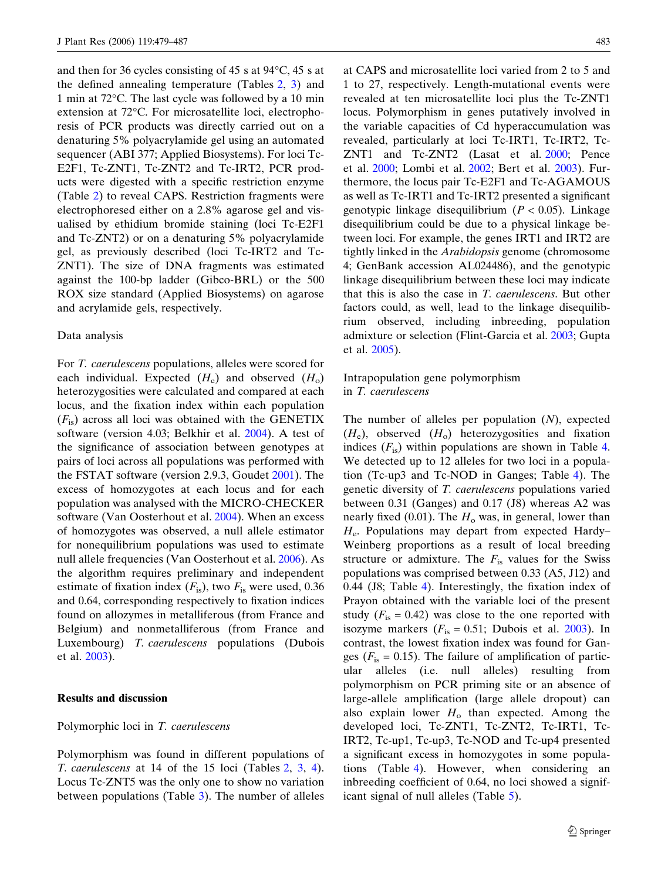and then for 36 cycles consisting of 45 s at  $94^{\circ}$ C, 45 s at the defined annealing temperature (Tables [2](#page-2-0), [3\)](#page-3-0) and 1 min at 72 °C. The last cycle was followed by a 10 min extension at 72°C. For microsatellite loci, electrophoresis of PCR products was directly carried out on a denaturing 5% polyacrylamide gel using an automated sequencer (ABI 377; Applied Biosystems). For loci Tc-E2F1, Tc-ZNT1, Tc-ZNT2 and Tc-IRT2, PCR products were digested with a specific restriction enzyme (Table [2](#page-2-0)) to reveal CAPS. Restriction fragments were electrophoresed either on a 2.8% agarose gel and visualised by ethidium bromide staining (loci Tc-E2F1 and Tc-ZNT2) or on a denaturing 5% polyacrylamide gel, as previously described (loci Tc-IRT2 and Tc-ZNT1). The size of DNA fragments was estimated against the 100-bp ladder (Gibco-BRL) or the 500 ROX size standard (Applied Biosystems) on agarose and acrylamide gels, respectively.

#### Data analysis

For T. caerulescens populations, alleles were scored for each individual. Expected  $(H_e)$  and observed  $(H_o)$ heterozygosities were calculated and compared at each locus, and the fixation index within each population  $(F_{is})$  across all loci was obtained with the GENETIX software (version 4.03; Belkhir et al. [2004](#page-7-0)). A test of the significance of association between genotypes at pairs of loci across all populations was performed with the FSTAT software (version 2.9.3, Goudet [2001\)](#page-8-0). The excess of homozygotes at each locus and for each population was analysed with the MICRO-CHECKER software (Van Oosterhout et al. [2004](#page-8-0)). When an excess of homozygotes was observed, a null allele estimator for nonequilibrium populations was used to estimate null allele frequencies (Van Oosterhout et al. [2006](#page-8-0)). As the algorithm requires preliminary and independent estimate of fixation index  $(F_{is})$ , two  $F_{is}$  were used, 0.36 and 0.64, corresponding respectively to fixation indices found on allozymes in metalliferous (from France and Belgium) and nonmetalliferous (from France and Luxembourg) T. caerulescens populations (Dubois et al. [2003](#page-7-0)).

### Results and discussion

#### Polymorphic loci in T. caerulescens

Polymorphism was found in different populations of T. caerulescens at 14 of the 15 loci (Tables [2](#page-2-0), [3](#page-3-0), [4\)](#page-5-0). Locus Tc-ZNT5 was the only one to show no variation between populations (Table [3](#page-3-0)). The number of alleles at CAPS and microsatellite loci varied from 2 to 5 and 1 to 27, respectively. Length-mutational events were revealed at ten microsatellite loci plus the Tc-ZNT1 locus. Polymorphism in genes putatively involved in the variable capacities of Cd hyperaccumulation was revealed, particularly at loci Tc-IRT1, Tc-IRT2, Tc-ZNT1 and Tc-ZNT2 (Lasat et al. [2000](#page-8-0); Pence et al. [2000](#page-8-0); Lombi et al. [2002;](#page-8-0) Bert et al. [2003\)](#page-7-0). Furthermore, the locus pair Tc-E2F1 and Tc-AGAMOUS as well as Tc-IRT1 and Tc-IRT2 presented a significant genotypic linkage disequilibrium ( $P < 0.05$ ). Linkage disequilibrium could be due to a physical linkage between loci. For example, the genes IRT1 and IRT2 are tightly linked in the Arabidopsis genome (chromosome 4; GenBank accession AL024486), and the genotypic linkage disequilibrium between these loci may indicate that this is also the case in T. caerulescens. But other factors could, as well, lead to the linkage disequilibrium observed, including inbreeding, population admixture or selection (Flint-Garcia et al. [2003](#page-7-0); Gupta et al. [2005](#page-8-0)).

# Intrapopulation gene polymorphism in T. caerulescens

The number of alleles per population  $(N)$ , expected  $(H_e)$ , observed  $(H_o)$  heterozygosities and fixation indices  $(F_{is})$  within populations are shown in Table [4.](#page-5-0) We detected up to 12 alleles for two loci in a population (Tc-up3 and Tc-NOD in Ganges; Table [4](#page-5-0)). The genetic diversity of T. caerulescens populations varied between 0.31 (Ganges) and 0.17 (J8) whereas A2 was nearly fixed (0.01). The  $H_0$  was, in general, lower than  $H_e$ . Populations may depart from expected Hardy– Weinberg proportions as a result of local breeding structure or admixture. The  $F_{\text{is}}$  values for the Swiss populations was comprised between 0.33 (A5, J12) and 0.44 (J8; Table [4\)](#page-5-0). Interestingly, the fixation index of Prayon obtained with the variable loci of the present study  $(F_{is} = 0.42)$  was close to the one reported with isozyme markers ( $F_{\text{is}} = 0.51$ ; Dubois et al. [2003\)](#page-7-0). In contrast, the lowest fixation index was found for Ganges ( $F_{\text{is}} = 0.15$ ). The failure of amplification of particular alleles (i.e. null alleles) resulting from polymorphism on PCR priming site or an absence of large-allele amplification (large allele dropout) can also explain lower  $H_0$  than expected. Among the developed loci, Tc-ZNT1, Tc-ZNT2, Tc-IRT1, Tc-IRT2, Tc-up1, Tc-up3, Tc-NOD and Tc-up4 presented a significant excess in homozygotes in some populations (Table [4\)](#page-5-0). However, when considering an inbreeding coefficient of 0.64, no loci showed a significant signal of null alleles (Table [5\)](#page-6-0).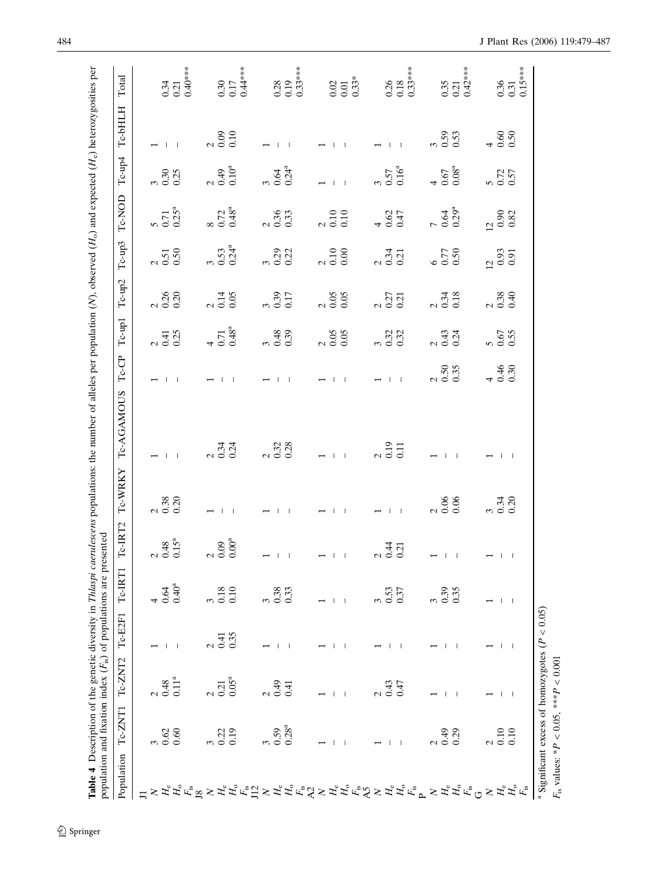<span id="page-5-0"></span>

|                                                                                                                                                                                                                                                                                                    | Tc-ZNT1<br>Population    | Tc-ZNT2                        | Tc-E2F1       | Tc-IRT1                  | Tc-IRT2                                            | Tc-WRKY                                          | Tc-AGAMOUS                                       | $Tc$ -CP                                         | Tc-up1                                           | Tc-up2                                                | Tc-up3                                                    | Tc-NOD                                                    | Tc-up4                                             | Тс-ЫН.Н                                          | Total                                                  |
|----------------------------------------------------------------------------------------------------------------------------------------------------------------------------------------------------------------------------------------------------------------------------------------------------|--------------------------|--------------------------------|---------------|--------------------------|----------------------------------------------------|--------------------------------------------------|--------------------------------------------------|--------------------------------------------------|--------------------------------------------------|-------------------------------------------------------|-----------------------------------------------------------|-----------------------------------------------------------|----------------------------------------------------|--------------------------------------------------|--------------------------------------------------------|
| $\Box$                                                                                                                                                                                                                                                                                             |                          |                                |               |                          |                                                    |                                                  |                                                  |                                                  |                                                  |                                                       |                                                           |                                                           |                                                    |                                                  |                                                        |
|                                                                                                                                                                                                                                                                                                    |                          |                                |               |                          |                                                    |                                                  |                                                  |                                                  |                                                  |                                                       |                                                           |                                                           |                                                    |                                                  |                                                        |
| $\gtrsim H_{\rm e}$                                                                                                                                                                                                                                                                                | 0.62                     | 0.48                           |               | 0.64                     | $\begin{array}{c} 2 \\ 0.48 \\ 0.15^a \end{array}$ | $\begin{array}{c} 2 & 38 \\ 0 & 30 \end{array}$  | $-1$                                             | $\leftarrow + + +$                               | $241$<br>$0.41$<br>$0.25$                        | $\begin{array}{c} 2 \\ 0.30 \\ 0.30 \end{array}$      | $\begin{array}{c} 2 \\ 0.51 \\ 0.50 \end{array}$          | $\frac{5}{0.71}$                                          |                                                    | $\leftarrow$ 1 1                                 |                                                        |
|                                                                                                                                                                                                                                                                                                    | $0.60\,$                 | $0.11^{a}$                     |               | 0.40 <sup>a</sup>        |                                                    |                                                  |                                                  |                                                  |                                                  |                                                       |                                                           |                                                           |                                                    |                                                  | $\begin{array}{c} 0.34 \\ 0.21 \\ 0.40*** \end{array}$ |
|                                                                                                                                                                                                                                                                                                    |                          |                                |               |                          |                                                    |                                                  |                                                  |                                                  |                                                  |                                                       |                                                           |                                                           |                                                    |                                                  |                                                        |
|                                                                                                                                                                                                                                                                                                    |                          | $\mathcal{L}$                  | $\mathcal{L}$ |                          |                                                    |                                                  |                                                  |                                                  |                                                  |                                                       |                                                           |                                                           |                                                    |                                                  |                                                        |
|                                                                                                                                                                                                                                                                                                    | 0.19<br>0.22             | $0.05^{a}$<br>0.21             | 0.35<br>0.41  | 0.18<br>0.10             | $\begin{array}{c} 2 \\ 0.09 \\ 0.00^a \end{array}$ | $-1$                                             | $234$<br>$0.34$                                  | $\leftarrow 1 - 1$                               | $40.71$<br>0.48 <sup>a</sup>                     | $2\frac{14}{0.14}$                                    | $3.53$<br>$0.53$                                          | $80.72$<br>0.72                                           | $2.49$<br>$0.49$ <sup>a</sup>                      | $\begin{array}{c} 2 \\ 0.09 \\ 0.10 \end{array}$ | $\begin{array}{c} 0.30 \\ 0.17 \\ 0.44*** \end{array}$ |
|                                                                                                                                                                                                                                                                                                    |                          |                                |               |                          |                                                    |                                                  |                                                  |                                                  |                                                  |                                                       |                                                           |                                                           |                                                    |                                                  |                                                        |
|                                                                                                                                                                                                                                                                                                    |                          | 2.49                           |               |                          |                                                    |                                                  |                                                  | $-1$                                             |                                                  |                                                       |                                                           |                                                           |                                                    |                                                  |                                                        |
|                                                                                                                                                                                                                                                                                                    | 0.59                     |                                |               | 0.38                     |                                                    |                                                  | $\begin{array}{c} 2 \\ 0.32 \\ 0.28 \end{array}$ |                                                  | 380.39                                           | $\begin{array}{c} 3 \\ 0.39 \\ 0.17 \end{array}$      | 30.22                                                     | $\begin{array}{c} 2 \\ 0.36 \\ 0.33 \end{array}$          | $3.34$<br>$0.24$                                   | $-1$                                             |                                                        |
| $\texttt{H}_{\texttt{K}^{\texttt{in}}\boxtimes} \times \texttt{H}_{\texttt{K}}^{\texttt{in}} \texttt{H}_{\texttt{K}}^{\texttt{in}} \texttt{H}_{\texttt{K}}^{\texttt{in}} \times \texttt{H}_{\texttt{K}}^{\texttt{in}} \texttt{H}_{\texttt{K}}^{\texttt{in}} \texttt{H}_{\texttt{K}}^{\texttt{in}}$ | $0.28^{a}$               | 0.41                           |               | 0.33                     | $-11$ $-11$ $-100$<br>$-11$ $-11$ $-121$           |                                                  |                                                  |                                                  |                                                  |                                                       |                                                           |                                                           |                                                    |                                                  | $\frac{0.28}{0.19}$<br>0.19                            |
|                                                                                                                                                                                                                                                                                                    |                          |                                |               |                          |                                                    |                                                  |                                                  |                                                  |                                                  |                                                       |                                                           |                                                           |                                                    |                                                  |                                                        |
|                                                                                                                                                                                                                                                                                                    |                          |                                |               |                          |                                                    | $\overline{\phantom{0}}$                         |                                                  |                                                  |                                                  |                                                       |                                                           |                                                           |                                                    |                                                  |                                                        |
|                                                                                                                                                                                                                                                                                                    | $\mathbf{I}$<br>- 1      | $\mathbf{I}$<br>$\overline{1}$ |               |                          |                                                    | $-1$                                             | $-1$                                             | $-1$ $1$                                         | $\begin{array}{c} 2 \\ 0.05 \\ 0.05 \end{array}$ | $\begin{array}{c} 2 & 0.05 \\ 0.05 & 0.0 \end{array}$ | $\begin{smallmatrix} 2 \\ 0.10 \\ 0.00 \end{smallmatrix}$ | $\begin{smallmatrix} 2 \\ 0.10 \\ 0.10 \end{smallmatrix}$ | $\leftarrow$ 1 $\pm$ 1                             | $     -$                                         |                                                        |
| $\mathop \mathrm{H}^{\circ} \mathop \mathrm{H}^{\circ} \mathop \mathrm{H}^{\circ} \mathop \mathrm{H}^{\circ} \mathop \mathrm{H}^{\circ} \mathop \mathrm{H}^{\circ} \mathop \mathrm{H}^{\circ} \mathop \mathrm{H}^{\circ}$                                                                          |                          |                                |               |                          |                                                    |                                                  |                                                  |                                                  |                                                  |                                                       |                                                           |                                                           |                                                    |                                                  | $\begin{array}{c} 0.02 \\ 0.01 \\ 0.33^* \end{array}$  |
|                                                                                                                                                                                                                                                                                                    |                          |                                |               |                          |                                                    |                                                  |                                                  |                                                  |                                                  |                                                       |                                                           |                                                           |                                                    | $\rightarrow$ $\rightarrow$ $\rightarrow$        |                                                        |
|                                                                                                                                                                                                                                                                                                    | $\mathbf{I}$             | 0.43                           | $\mathbf{I}$  | 0.53                     |                                                    | $-1$ 1                                           | $\frac{2}{0.19}$                                 | $-1$ $+$                                         |                                                  |                                                       | $\begin{array}{c} 2 \\ 0.31 \\ 0.21 \end{array}$          |                                                           | $30.57$<br>$0.57$                                  |                                                  |                                                        |
|                                                                                                                                                                                                                                                                                                    | - 1                      | 0.47                           |               | 0.37                     |                                                    |                                                  |                                                  |                                                  |                                                  | $\frac{25}{25}$                                       |                                                           | $40.47$<br>0.62                                           |                                                    |                                                  | $\frac{0.26}{0.18}$<br>0.18                            |
|                                                                                                                                                                                                                                                                                                    |                          |                                |               |                          |                                                    |                                                  |                                                  |                                                  |                                                  |                                                       |                                                           |                                                           |                                                    |                                                  |                                                        |
|                                                                                                                                                                                                                                                                                                    |                          |                                |               |                          |                                                    |                                                  |                                                  |                                                  |                                                  |                                                       |                                                           |                                                           |                                                    |                                                  |                                                        |
|                                                                                                                                                                                                                                                                                                    | 64.0                     |                                |               | 0.39                     |                                                    | $\begin{array}{c} 2 \\ 0.06 \\ 0.06 \end{array}$ | $-1$                                             | $\begin{array}{c} 2 \\ 0.50 \\ 0.35 \end{array}$ | $\begin{array}{c} 2 \\ 0.43 \\ 0.24 \end{array}$ | $\begin{array}{c} 2 \\ 0.34 \\ 0.18 \end{array}$      | $60.77$<br>0.50                                           | $7\frac{39}{0.29}$                                        | $\begin{array}{c} 4 \\ 0.67 \\ 0.08^a \end{array}$ | $\begin{array}{c} 3 \\ 0.59 \\ 0.33 \end{array}$ |                                                        |
| $\gtrsim \mathop{\mathrm{H}}\nolimits^{\mathrm{c}}\mathop{\mathrm{H}}\nolimits^{\mathrm{c}}$                                                                                                                                                                                                       | 0.29                     | H                              |               | 0.35                     |                                                    |                                                  |                                                  |                                                  |                                                  |                                                       |                                                           |                                                           |                                                    |                                                  | $\begin{array}{c} 0.35 \\ 0.21 \\ 0.42*** \end{array}$ |
|                                                                                                                                                                                                                                                                                                    |                          |                                |               |                          |                                                    |                                                  |                                                  |                                                  |                                                  |                                                       |                                                           |                                                           |                                                    |                                                  |                                                        |
| $\geq$                                                                                                                                                                                                                                                                                             | $\overline{\mathcal{C}}$ |                                |               |                          |                                                    | $334$<br>$0.30$                                  | $-1$                                             | 40.30                                            | $\begin{array}{c} 5 \\ 0.67 \\ 0.35 \end{array}$ | $\begin{array}{c} 2.88 \\ 0.30 \end{array}$           | $\begin{array}{c} 12 \\ 0.93 \\ 0.91 \end{array}$         | $\frac{12}{0.90}$                                         | $\begin{array}{c} 5 \\ 0.57 \\ 0.57 \end{array}$   |                                                  |                                                        |
| $H_{\rm e}$                                                                                                                                                                                                                                                                                        | 0.10                     |                                |               | $\overline{\phantom{a}}$ |                                                    |                                                  |                                                  |                                                  |                                                  |                                                       |                                                           |                                                           |                                                    |                                                  |                                                        |
| $H_{\rm o}$<br>$F_{\rm is}$                                                                                                                                                                                                                                                                        | 0.10                     |                                |               |                          |                                                    |                                                  |                                                  |                                                  |                                                  |                                                       |                                                           |                                                           |                                                    |                                                  | $\frac{0.36}{0.31}$<br>0.15***                         |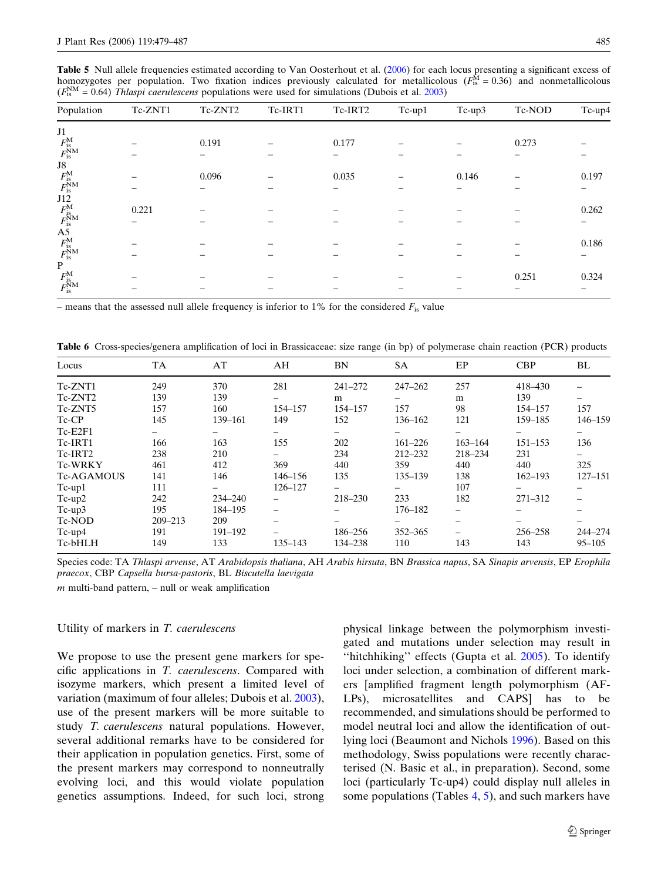<span id="page-6-0"></span>Table 5 Null allele frequencies estimated according to Van Oosterhout et al. [\(2006](#page-8-0)) for each locus presenting a significant excess of homozygotes per population. Two fixation indices previously calculated for metallicolous ( $F_{\text{is}}^{\text{M}} = 0.36$ ) and nonmetallicolous  $(F_{\text{is}}^{\text{NM}} = 0.64)$  Thlaspi caerulescens populations were used for simulations (Dubois et al. [2003](#page-7-0))

| Population                                                                                           | Tc-ZNT1 | Tc-ZNT2 | Tc-IRT1 | Tc-IRT2 | Tc-up1 | Tc-up3 | Tc-NOD | Tc-up4 |
|------------------------------------------------------------------------------------------------------|---------|---------|---------|---------|--------|--------|--------|--------|
| $\ensuremath{\text{J1}}$                                                                             |         |         |         |         |        |        |        |        |
| $F_{\rm is}^{\rm M}$ $F_{\rm is}^{\rm NM}$                                                           |         | 0.191   |         | 0.177   |        |        | 0.273  |        |
|                                                                                                      |         |         |         |         |        |        |        |        |
|                                                                                                      |         |         |         |         |        |        |        |        |
|                                                                                                      |         | 0.096   |         | 0.035   |        | 0.146  |        | 0.197  |
| $\begin{array}{c} {\rm J8}\\ F_{\rm is}^{\rm M}\\ F_{\rm is}^{\rm NM} \end{array}$                   |         |         |         |         |        |        |        |        |
|                                                                                                      |         |         |         |         |        |        |        |        |
|                                                                                                      | 0.221   |         |         |         |        |        |        | 0.262  |
| $J12 \nF_{\rm is}^{\rm M}$<br>$F_{\rm is}^{\rm NM}$<br>$K_{\rm is}^{\rm M}$<br>$F_{\rm is}^{\rm NM}$ |         |         |         |         |        |        |        |        |
|                                                                                                      |         |         |         |         |        |        |        |        |
|                                                                                                      |         |         |         |         |        |        |        | 0.186  |
|                                                                                                      |         |         |         |         |        |        |        |        |
| $\mathbf{P}$                                                                                         |         |         |         |         |        |        |        |        |
| $F_{\rm is}^{\rm M}$ $F_{\rm is}^{\rm NM}$                                                           |         |         |         |         |        |        | 0.251  | 0.324  |
|                                                                                                      |         |         |         |         |        |        |        |        |

– means that the assessed null allele frequency is inferior to 1% for the considered  $F_{\rm is}$  value

Table 6 Cross-species/genera amplification of loci in Brassicaceae: size range (in bp) of polymerase chain reaction (PCR) products

| Locus             | TA          | AT          | AH                       | BN          | <b>SA</b>   | EP                       | <b>CBP</b>  | BL                       |
|-------------------|-------------|-------------|--------------------------|-------------|-------------|--------------------------|-------------|--------------------------|
| Tc-ZNT1           | 249         | 370         | 281                      | $241 - 272$ | $247 - 262$ | 257                      | 418-430     |                          |
| Tc-ZNT2           | 139         | 139         |                          | m           |             | m                        | 139         |                          |
| Tc-ZNT5           | 157         | 160         | 154-157                  | 154-157     | 157         | 98                       | 154-157     | 157                      |
| Tc-CP             | 145         | 139-161     | 149                      | 152         | 136-162     | 121                      | 159-185     | 146-159                  |
| Tc-E2F1           | -           | -           | $\overline{\phantom{m}}$ |             |             | $\overline{\phantom{0}}$ | -           | -                        |
| Tc-IRT1           | 166         | 163         | 155                      | 202         | $161 - 226$ | $163 - 164$              | $151 - 153$ | 136                      |
| Tc-IRT2           | 238         | 210         |                          | 234         | $212 - 232$ | 218-234                  | 231         | —                        |
| <b>Tc-WRKY</b>    | 461         | 412         | 369                      | 440         | 359         | 440                      | 440         | 325                      |
| <b>Tc-AGAMOUS</b> | 141         | 146         | 146-156                  | 135         | 135-139     | 138                      | $162 - 193$ | 127-151                  |
| $Tc-up1$          | 111         |             | 126-127                  |             |             | 107                      |             | -                        |
| $Tc-up2$          | 242         | $234 - 240$ |                          | 218-230     | 233         | 182                      | 271-312     | $\overline{\phantom{0}}$ |
| Tc-up3            | 195         | 184-195     | —                        |             | 176-182     | $\qquad \qquad$          |             |                          |
| Tc-NOD            | $209 - 213$ | 209         |                          |             |             |                          |             |                          |
| $Tc-up4$          | 191         | 191-192     |                          | 186-256     | $352 - 365$ | $\qquad \qquad$          | 256-258     | 244-274                  |
| Tc-bHLH           | 149         | 133         | 135-143                  | 134–238     | 110         | 143                      | 143         | 95–105                   |

Species code: TA Thlaspi arvense, AT Arabidopsis thaliana, AH Arabis hirsuta, BN Brassica napus, SA Sinapis arvensis, EP Erophila praecox, CBP Capsella bursa-pastoris, BL Biscutella laevigata

 $m$  multi-band pattern,  $-$  null or weak amplification

#### Utility of markers in T. caerulescens

We propose to use the present gene markers for specific applications in T. caerulescens. Compared with isozyme markers, which present a limited level of variation (maximum of four alleles; Dubois et al. [2003\)](#page-7-0), use of the present markers will be more suitable to study T. caerulescens natural populations. However, several additional remarks have to be considered for their application in population genetics. First, some of the present markers may correspond to nonneutrally evolving loci, and this would violate population genetics assumptions. Indeed, for such loci, strong

physical linkage between the polymorphism investigated and mutations under selection may result in ''hitchhiking'' effects (Gupta et al. [2005](#page-8-0)). To identify loci under selection, a combination of different markers [amplified fragment length polymorphism (AF-LPs), microsatellites and CAPS] has to be recommended, and simulations should be performed to model neutral loci and allow the identification of outlying loci (Beaumont and Nichols [1996\)](#page-7-0). Based on this methodology, Swiss populations were recently characterised (N. Basic et al., in preparation). Second, some loci (particularly Tc-up4) could display null alleles in some populations (Tables  $4, 5$  $4, 5$ ), and such markers have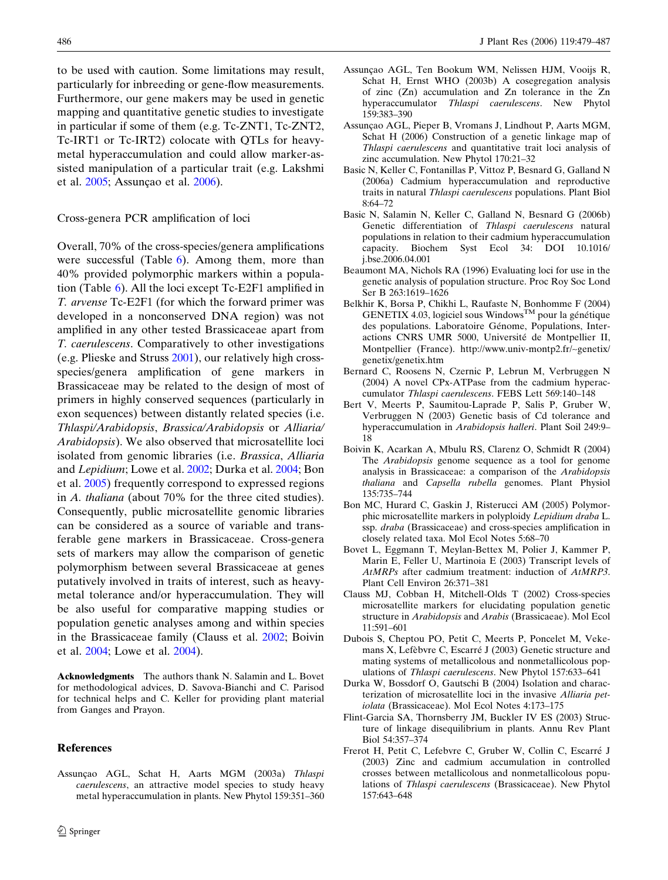<span id="page-7-0"></span>to be used with caution. Some limitations may result, particularly for inbreeding or gene-flow measurements. Furthermore, our gene makers may be used in genetic mapping and quantitative genetic studies to investigate in particular if some of them (e.g. Tc-ZNT1, Tc-ZNT2, Tc-IRT1 or Tc-IRT2) colocate with QTLs for heavymetal hyperaccumulation and could allow marker-assisted manipulation of a particular trait (e.g. Lakshmi et al. [2005](#page-8-0); Assunçao et al. 2006).

## Cross-genera PCR amplification of loci

Overall, 70% of the cross-species/genera amplifications were successful (Table  $6$ ). Among them, more than 40% provided polymorphic markers within a population (Table [6\)](#page-6-0). All the loci except Tc-E2F1 amplified in T. arvense Tc-E2F1 (for which the forward primer was developed in a nonconserved DNA region) was not amplified in any other tested Brassicaceae apart from T. caerulescens. Comparatively to other investigations (e.g. Plieske and Struss [2001](#page-8-0)), our relatively high crossspecies/genera amplification of gene markers in Brassicaceae may be related to the design of most of primers in highly conserved sequences (particularly in exon sequences) between distantly related species (i.e. Thlaspi/Arabidopsis, Brassica/Arabidopsis or Alliaria/ Arabidopsis). We also observed that microsatellite loci isolated from genomic libraries (i.e. Brassica, Alliaria and Lepidium; Lowe et al. [2002;](#page-8-0) Durka et al. 2004; Bon et al. 2005) frequently correspond to expressed regions in A. thaliana (about 70% for the three cited studies). Consequently, public microsatellite genomic libraries can be considered as a source of variable and transferable gene markers in Brassicaceae. Cross-genera sets of markers may allow the comparison of genetic polymorphism between several Brassicaceae at genes putatively involved in traits of interest, such as heavymetal tolerance and/or hyperaccumulation. They will be also useful for comparative mapping studies or population genetic analyses among and within species in the Brassicaceae family (Clauss et al. 2002; Boivin et al. 2004; Lowe et al. [2004\)](#page-8-0).

Acknowledgments The authors thank N. Salamin and L. Bovet for methodological advices, D. Savova-Bianchi and C. Parisod for technical helps and C. Keller for providing plant material from Ganges and Prayon.

#### References

Assunçao AGL, Schat H, Aarts MGM (2003a) Thlaspi caerulescens, an attractive model species to study heavy metal hyperaccumulation in plants. New Phytol 159:351–360

- Assunçao AGL, Ten Bookum WM, Nelissen HJM, Vooijs R, Schat H, Ernst WHO (2003b) A cosegregation analysis of zinc (Zn) accumulation and Zn tolerance in the Zn hyperaccumulator Thlaspi caerulescens. New Phytol 159:383–390
- Assunçao AGL, Pieper B, Vromans J, Lindhout P, Aarts MGM, Schat H (2006) Construction of a genetic linkage map of Thlaspi caerulescens and quantitative trait loci analysis of zinc accumulation. New Phytol 170:21–32
- Basic N, Keller C, Fontanillas P, Vittoz P, Besnard G, Galland N (2006a) Cadmium hyperaccumulation and reproductive traits in natural Thlaspi caerulescens populations. Plant Biol 8:64–72
- Basic N, Salamin N, Keller C, Galland N, Besnard G (2006b) Genetic differentiation of Thlaspi caerulescens natural populations in relation to their cadmium hyperaccumulation capacity. Biochem Syst Ecol 34: DOI 10.1016/ j.bse.2006.04.001
- Beaumont MA, Nichols RA (1996) Evaluating loci for use in the genetic analysis of population structure. Proc Roy Soc Lond Ser B 263:1619–1626
- Belkhir K, Borsa P, Chikhi L, Raufaste N, Bonhomme F (2004) GENETIX 4.03, logiciel sous Windows<sup>TM</sup> pour la génétique des populations. Laboratoire Génome, Populations, Interactions CNRS UMR 5000, Université de Montpellier II, Montpellier (France). http://www.univ-montp2.fr/~genetix/ genetix/genetix.htm
- Bernard C, Roosens N, Czernic P, Lebrun M, Verbruggen N (2004) A novel CPx-ATPase from the cadmium hyperaccumulator Thlaspi caerulescens. FEBS Lett 569:140–148
- Bert V, Meerts P, Saumitou-Laprade P, Salis P, Gruber W, Verbruggen N (2003) Genetic basis of Cd tolerance and hyperaccumulation in Arabidopsis halleri. Plant Soil 249:9– 18
- Boivin K, Acarkan A, Mbulu RS, Clarenz O, Schmidt R (2004) The Arabidopsis genome sequence as a tool for genome analysis in Brassicaceae: a comparison of the Arabidopsis thaliana and Capsella rubella genomes. Plant Physiol 135:735–744
- Bon MC, Hurard C, Gaskin J, Risterucci AM (2005) Polymorphic microsatellite markers in polyploidy Lepidium draba L. ssp. draba (Brassicaceae) and cross-species amplification in closely related taxa. Mol Ecol Notes 5:68–70
- Bovet L, Eggmann T, Meylan-Bettex M, Polier J, Kammer P, Marin E, Feller U, Martinoia E (2003) Transcript levels of AtMRPs after cadmium treatment: induction of AtMRP3. Plant Cell Environ 26:371–381
- Clauss MJ, Cobban H, Mitchell-Olds T (2002) Cross-species microsatellite markers for elucidating population genetic structure in Arabidopsis and Arabis (Brassicaeae). Mol Ecol 11:591–601
- Dubois S, Cheptou PO, Petit C, Meerts P, Poncelet M, Vekemans X, Lefèbvre C, Escarré J (2003) Genetic structure and mating systems of metallicolous and nonmetallicolous populations of Thlaspi caerulescens. New Phytol 157:633–641
- Durka W, Bossdorf O, Gautschi B (2004) Isolation and characterization of microsatellite loci in the invasive Alliaria petiolata (Brassicaceae). Mol Ecol Notes 4:173–175
- Flint-Garcia SA, Thornsberry JM, Buckler IV ES (2003) Structure of linkage disequilibrium in plants. Annu Rev Plant Biol 54:357–374
- Frerot H, Petit C, Lefebvre C, Gruber W, Collin C, Escarré J (2003) Zinc and cadmium accumulation in controlled crosses between metallicolous and nonmetallicolous populations of Thlaspi caerulescens (Brassicaceae). New Phytol 157:643–648